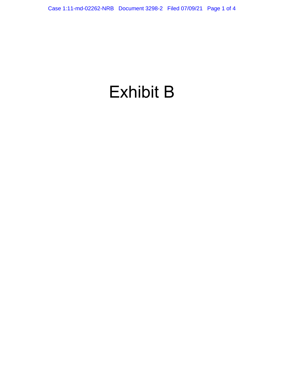# Exhibit B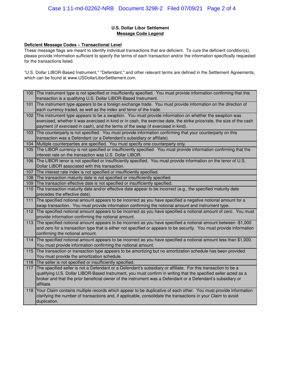## **U.S. Dollar Libor Settlement Message Code Legend**

### **Deficient Message Codes – Transactional Level**

These message flags are meant to identify individual transactions that are deficient. To cure the deficient condition(s), please provide information sufficient to specify the terms of each transaction and/or the information specifically requested for the transactions listed.

"U.S. Dollar LIBOR-Based Instrument," "Defendant," and other relevant terms are defined in the Settlement Agreements, which can be found at www.USDollarLiborSettlement.com.

| 100 | The instrument type is not specified or insufficiently specified. You must provide information confirming that this<br>transaction is a qualifying U.S. Dollar LIBOR-Based Instrument.                                                                                                                                                                         |
|-----|----------------------------------------------------------------------------------------------------------------------------------------------------------------------------------------------------------------------------------------------------------------------------------------------------------------------------------------------------------------|
| 101 | The instrument type appears to be a foreign exchange trade. You must provide information on the direction of<br>each currency traded, as well as the index and tenor of the trade.                                                                                                                                                                             |
| 102 | The instrument type appears to be a swaption. You must provide information on whether the swaption was<br>exercised, whether it was exercised in kind or in cash, the exercise date, the strike price/rate, the size of the cash<br>payment (if exercised in cash), and the terms of the swap (if exercised in kind).                                          |
| 103 | The counterparty is not specified. You must provide information confirming that your counterparty on this<br>transaction was a Defendant (or a Defendant's subsidiary or affiliate).                                                                                                                                                                           |
| 104 | Multiple counterparties are specified. You must specify one counterparty only.                                                                                                                                                                                                                                                                                 |
| 105 | The LIBOR currency is not specified or insufficiently specified. You must provide information confirming that the<br>interest rate on the transaction was U.S. Dollar LIBOR.                                                                                                                                                                                   |
| 106 | The LIBOR tenor is not specified or insufficiently specified. You must provide information on the tenor of U.S.<br>Dollar LIBOR associated with this transaction.                                                                                                                                                                                              |
| 107 | The interest rate index is not specified or insufficiently specified.                                                                                                                                                                                                                                                                                          |
| 108 | The transaction maturity date is not specified or insufficiently specified.                                                                                                                                                                                                                                                                                    |
| 109 | The transaction effective date is not specified or insufficiently specified.                                                                                                                                                                                                                                                                                   |
| 110 | The transaction maturity date and/or effective date appear to be incorrect (e.g., the specified maturity date<br>precedes the effective date).                                                                                                                                                                                                                 |
| 111 | The specified notional amount appears to be incorrect as you have specified a negative notional amount for a<br>swap transaction. You must provide information confirming the notional amount and instrument type.                                                                                                                                             |
| 112 | The specified notional amount appears to be incorrect as you have specified a notional amount of zero. You must<br>provide information confirming the notional amount.                                                                                                                                                                                         |
| 113 | The specified notional amount appears to be incorrect as you have specified a notional amount between -\$1,000<br>and zero for a transaction type that is either not specified or appears to be security. You must provide information<br>confirming the notional amount.                                                                                      |
| 114 | The specified notional amount appears to be incorrect as you have specified a notional amount less than \$1,000.<br>You must provide information confirming the notional amount.                                                                                                                                                                               |
| 115 | The transaction or transaction type appears to be amortizing but no amortization schedule has been provided.<br>You must provide the amortization schedule.                                                                                                                                                                                                    |
| 116 | The seller is not specified or insufficiently specified.                                                                                                                                                                                                                                                                                                       |
| 117 | The specified seller is not a Defendant or a Defendant's subsidiary or affiliate. For this transaction to be a<br>qualifying U.S. Dollar LIBOR-Based Instrument, you must confirm in writing that the specified seller acted as a<br>broker and that the prior beneficial owner of the instrument was a Defendant or a Defendant's subsidiary or<br>affiliate. |
| 118 | Your Claim contains multiple records which appear to be duplicative of each other. You must provide information<br>clarifying the number of transactions and, if applicable, consolidate the transactions in your Claim to avoid<br>duplication.                                                                                                               |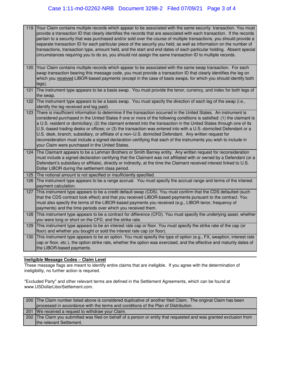| 119 | Your Claim contains multiple records which appear to be associated with the same security transaction. You must<br>provide a transaction ID that clearly identifies the records that are associated with each transaction. If the records<br>pertain to a security that was purchased and/or sold over the course of multiple transactions, you should provide a<br>separate transaction ID for each particular piece of the security you held, as well as information on the number of<br>transactions, transaction type, amount held, and the start and end dates of each particular holding. Absent special<br>circumstances requiring you to do so, you should not assign the same transaction ID to multiple records.                                                 |
|-----|----------------------------------------------------------------------------------------------------------------------------------------------------------------------------------------------------------------------------------------------------------------------------------------------------------------------------------------------------------------------------------------------------------------------------------------------------------------------------------------------------------------------------------------------------------------------------------------------------------------------------------------------------------------------------------------------------------------------------------------------------------------------------|
| 120 | Your Claim contains multiple records which appear to be associated with the same swap transaction. For each<br>swap transaction bearing this message code, you must provide a transaction ID that clearly identifies the leg on<br>which you received LIBOR-based payments (except in the case of basis swaps, for which you should identify both<br>legs).                                                                                                                                                                                                                                                                                                                                                                                                                |
| 121 | The instrument type appears to be a basis swap. You must provide the tenor, currency, and index for both legs of<br>the swap.                                                                                                                                                                                                                                                                                                                                                                                                                                                                                                                                                                                                                                              |
| 122 | The instrument type appears to be a basis swap. You must specify the direction of each leg of the swap (i.e.,<br>identify the leg received and leg paid).                                                                                                                                                                                                                                                                                                                                                                                                                                                                                                                                                                                                                  |
| 123 | There is insufficient information to determine if the transaction occurred in the United States. An instrument is<br>considered purchased in the United States if one or more of the following conditions is satisfied: (1) the claimant is<br>a U.S. resident or domiciliary; (2) the claimant entered into the transaction in the United States through one of its<br>U.S.-based trading desks or offices; or (3) the transaction was entered into with a U.S.-domiciled Defendant or a<br>U.S. desk, branch, subsidiary, or affiliate of a non-U.S. domiciled Defendant. Any written request for<br>reconsideration must include a signed declaration certifying that each of the instruments you wish to include in<br>your Claim were purchased in the United States. |
| 124 | The Claimant appears to be a Lehman Brothers or Smith Barney entity. Any written request for reconsideration<br>must include a signed declaration certifying that the Claimant was not affiliated with or owned by a Defendant (or a<br>Defendant's subsidiary or affiliate), directly or indirectly, at the time the Claimant received interest linked to U.S.<br>Dollar LIBOR during the settlement class period.                                                                                                                                                                                                                                                                                                                                                        |
| 125 | The notional amount is not specified or insufficiently specified.                                                                                                                                                                                                                                                                                                                                                                                                                                                                                                                                                                                                                                                                                                          |
| 126 | The instrument type appears to be a range accrual. You must specify the accrual range and terms of the interest<br>payment calculation.                                                                                                                                                                                                                                                                                                                                                                                                                                                                                                                                                                                                                                    |
| 127 | This instrument type appears to be a credit default swap (CDS). You must confirm that the CDS defaulted (such<br>that the CDS contract took effect) and that you received LIBOR-based payments pursuant to the contract. You<br>must also specify the terms of the LIBOR-based payments you received (e.g., LIBOR tenor, frequency of<br>payments) and the time periods over which you received them.                                                                                                                                                                                                                                                                                                                                                                      |
| 128 | This instrument type appears to be a contract for difference (CFD). You must specify the underlying asset, whether<br>you were long or short on the CFD, and the strike rate.                                                                                                                                                                                                                                                                                                                                                                                                                                                                                                                                                                                              |
| 129 | This instrument type appears to be an interest rate cap or floor. You must specify the strike rate of the cap (or<br>floor) and whether you bought or sold the interest rate cap (or floor).                                                                                                                                                                                                                                                                                                                                                                                                                                                                                                                                                                               |
| 130 | This instrument type appears to be an option. You must specify the type of option (e.g., FX, swaption, interest rate<br>cap or floor, etc.), the option strike rate, whether the option was exercised, and the effective and maturity dates of<br>the LIBOR-based payments.                                                                                                                                                                                                                                                                                                                                                                                                                                                                                                |

# **Ineligible Message Codes – Claim Level**

These message flags are meant to identify entire claims that are ineligible. If you agree with the determination of ineligibility, no further action is required.

"Excluded Party" and other relevant terms are defined in the Settlement Agreements, which can be found at www.USDollarLiborSettlement.com.

| 200 The Claim number listed above is considered duplicative of another filed Claim. The original Claim has been     |
|---------------------------------------------------------------------------------------------------------------------|
| processed in accordance with the terms and conditions of the Plan of Distribution.                                  |
| 201 We received a request to withdraw your Claim.                                                                   |
| 202 The Claim you submitted was filed on behalf of a person or entity that requested and was granted exclusion from |
| the relevant Settlement.                                                                                            |